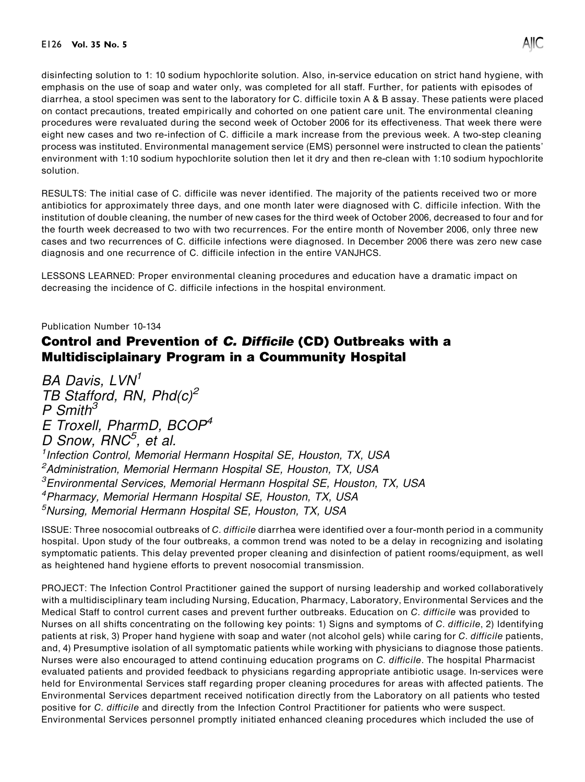disinfecting solution to 1: 10 sodium hypochlorite solution. Also, in-service education on strict hand hygiene, with emphasis on the use of soap and water only, was completed for all staff. Further, for patients with episodes of diarrhea, a stool specimen was sent to the laboratory for C. difficile toxin A & B assay. These patients were placed on contact precautions, treated empirically and cohorted on one patient care unit. The environmental cleaning procedures were revaluated during the second week of October 2006 for its effectiveness. That week there were eight new cases and two re-infection of C. difficile a mark increase from the previous week. A two-step cleaning process was instituted. Environmental management service (EMS) personnel were instructed to clean the patients' environment with 1:10 sodium hypochlorite solution then let it dry and then re-clean with 1:10 sodium hypochlorite solution.

RESULTS: The initial case of C. difficile was never identified. The majority of the patients received two or more antibiotics for approximately three days, and one month later were diagnosed with C. difficile infection. With the institution of double cleaning, the number of new cases for the third week of October 2006, decreased to four and for the fourth week decreased to two with two recurrences. For the entire month of November 2006, only three new cases and two recurrences of C. difficile infections were diagnosed. In December 2006 there was zero new case diagnosis and one recurrence of C. difficile infection in the entire VANJHCS.

LESSONS LEARNED: Proper environmental cleaning procedures and education have a dramatic impact on decreasing the incidence of C. difficile infections in the hospital environment.

Publication Number 10-134

## Control and Prevention of C. Difficile (CD) Outbreaks with a Multidisciplainary Program in a Coummunity Hospital

 $BA$  Davis,  $LVN<sup>1</sup>$  $T$ B Stafford, RN, Phd $(c)^2$  $P S$ mith<sup>3</sup> E Troxell, PharmD, BCOP<sup>4</sup> D Snow, RNC<sup>5</sup>, et al. <sup>1</sup> Infection Control, Memorial Hermann Hospital SE, Houston, TX, USA <sup>2</sup>Administration, Memorial Hermann Hospital SE, Houston, TX, USA 3 Environmental Services, Memorial Hermann Hospital SE, Houston, TX, USA 4 Pharmacy, Memorial Hermann Hospital SE, Houston, TX, USA 5 Nursing, Memorial Hermann Hospital SE, Houston, TX, USA

ISSUE: Three nosocomial outbreaks of C. difficile diarrhea were identified over a four-month period in a community hospital. Upon study of the four outbreaks, a common trend was noted to be a delay in recognizing and isolating symptomatic patients. This delay prevented proper cleaning and disinfection of patient rooms/equipment, as well as heightened hand hygiene efforts to prevent nosocomial transmission.

PROJECT: The Infection Control Practitioner gained the support of nursing leadership and worked collaboratively with a multidisciplinary team including Nursing, Education, Pharmacy, Laboratory, Environmental Services and the Medical Staff to control current cases and prevent further outbreaks. Education on C. difficile was provided to Nurses on all shifts concentrating on the following key points: 1) Signs and symptoms of C. difficile, 2) Identifying patients at risk, 3) Proper hand hygiene with soap and water (not alcohol gels) while caring for C. difficile patients, and, 4) Presumptive isolation of all symptomatic patients while working with physicians to diagnose those patients. Nurses were also encouraged to attend continuing education programs on C. difficile. The hospital Pharmacist evaluated patients and provided feedback to physicians regarding appropriate antibiotic usage. In-services were held for Environmental Services staff regarding proper cleaning procedures for areas with affected patients. The Environmental Services department received notification directly from the Laboratory on all patients who tested positive for C. difficile and directly from the Infection Control Practitioner for patients who were suspect. Environmental Services personnel promptly initiated enhanced cleaning procedures which included the use of